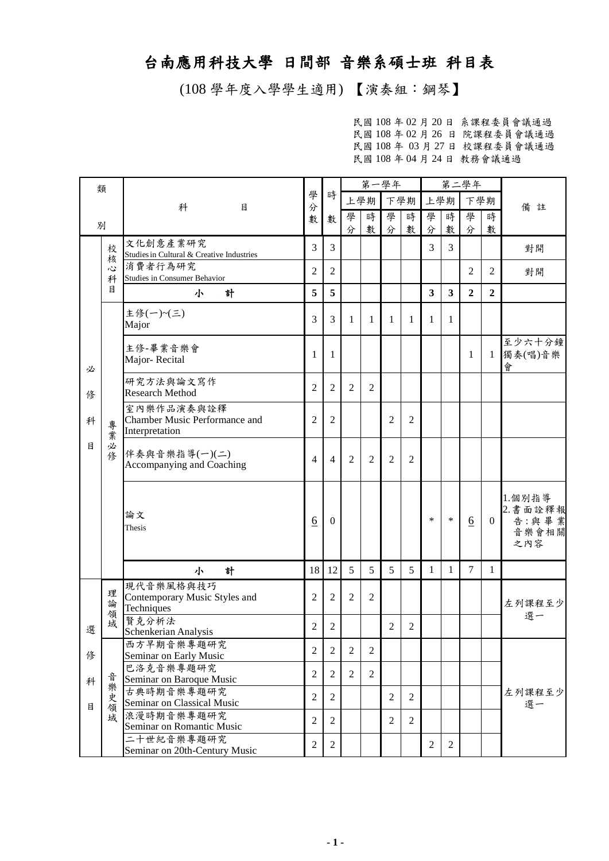## 台南應用科技大學 日間部 音樂系碩士班 科目表

(108 學年度入學學生適用) 【演奏組:鋼琴】

民國 108 年 02 月 20 日 系課程委員會議通過 民國 108 年 02 月 26 日 院課程委員會議通過 民國 108 年 03 月 27 日 校課程委員會議通過 民國 108 年 04 月 24 日 教務會議通過

| 類 |        |                                                      |                 |                | 第一學年           |                |                |                |                         |                         | 第二學年           |                |                    |  |
|---|--------|------------------------------------------------------|-----------------|----------------|----------------|----------------|----------------|----------------|-------------------------|-------------------------|----------------|----------------|--------------------|--|
|   |        | 科<br>目                                               | 學<br>分<br>數     | 時              |                | 上學期            | 下學期            |                | 上學期                     |                         | 下學期            |                |                    |  |
|   |        |                                                      |                 | 數              | 學              | 時              | 學              | 時              | 學                       | 時                       | 學              | 時              | 備註                 |  |
| 別 |        |                                                      |                 |                | 分              | 數              | 分              | 數              | 分                       | 數                       | 分              | 數              |                    |  |
|   | 校      | 文化創意產業研究                                             | 3               | 3              |                |                |                |                | 3                       | 3                       |                |                | 對開                 |  |
|   | 核      | Studies in Cultural & Creative Industries<br>消費者行為研究 |                 |                |                |                |                |                |                         |                         |                |                |                    |  |
|   | 心<br>科 | <b>Studies in Consumer Behavior</b>                  | 2               | $\overline{2}$ |                |                |                |                |                         |                         | $\overline{c}$ | 2              | 對開                 |  |
|   | 目      | 計<br>小                                               | 5               | 5              |                |                |                |                | $\overline{\mathbf{3}}$ | $\overline{\mathbf{3}}$ | $\overline{2}$ | $\overline{2}$ |                    |  |
|   |        | 主修(一)~(三)                                            |                 |                |                |                |                |                |                         |                         |                |                |                    |  |
|   |        | Major                                                | 3               | 3              | 1              | 1              | 1              | 1              | 1                       | 1                       |                |                |                    |  |
|   |        |                                                      |                 |                |                |                |                |                |                         |                         |                |                | 至少六十分鐘             |  |
|   |        | 主修-畢業音樂會<br>Major-Recital                            | 1               | 1              |                |                |                |                |                         |                         | 1              | 1              | 獨奏(唱)音樂            |  |
| 必 |        |                                                      |                 |                |                |                |                |                |                         |                         |                |                | 會                  |  |
|   |        | 研究方法與論文寫作                                            | $\overline{2}$  | $\overline{2}$ | $\overline{2}$ | $\overline{2}$ |                |                |                         |                         |                |                |                    |  |
| 俢 |        | <b>Research Method</b>                               |                 |                |                |                |                |                |                         |                         |                |                |                    |  |
| 科 |        | 室內樂作品演奏與詮釋<br><b>Chamber Music Performance and</b>   | $\overline{2}$  | $\overline{2}$ |                |                | 2              | $\overline{2}$ |                         |                         |                |                |                    |  |
| 目 | 專業     | Interpretation                                       |                 |                |                |                |                |                |                         |                         |                |                |                    |  |
|   | 必      |                                                      |                 |                |                |                |                |                |                         |                         |                |                |                    |  |
|   | 修      | 伴奏與音樂指導(一)(二)<br>Accompanying and Coaching           | 4               | $\overline{4}$ | $\overline{2}$ | $\overline{2}$ | 2              | $\overline{2}$ |                         |                         |                |                |                    |  |
|   |        |                                                      |                 |                |                |                |                |                |                         |                         |                |                |                    |  |
|   |        |                                                      |                 |                |                |                |                |                |                         |                         |                |                |                    |  |
|   |        |                                                      |                 |                |                |                |                |                |                         |                         |                |                | 1.個別指導<br>2. 書面詮釋報 |  |
|   |        | 論文<br>Thesis                                         | $\underline{6}$ | $\mathbf{0}$   |                |                |                |                | $\ast$                  | $\ast$                  | 6              | $\overline{0}$ | 告:與畢業              |  |
|   |        |                                                      |                 |                |                |                |                |                |                         |                         |                |                | 音樂會相關<br>之內容       |  |
|   |        |                                                      |                 |                |                |                |                |                |                         |                         |                |                |                    |  |
|   |        | 計<br>小                                               | 18              | 12             | 5              | 5              | 5              | 5              | 1                       | 1                       | $\overline{7}$ | $\mathbf{1}$   |                    |  |
|   | 理      | 現代音樂風格與技巧                                            |                 |                |                |                |                |                |                         |                         |                |                |                    |  |
|   | 論      | Contemporary Music Styles and<br>Techniques          | 2               | $\mathfrak{2}$ | 2              | $\overline{2}$ |                |                |                         |                         |                |                | 左列課程至少             |  |
|   | 領<br>域 | 賢克分析法                                                |                 |                |                |                |                |                |                         |                         |                |                | 選一                 |  |
| 選 |        | Schenkerian Analysis                                 | $\overline{2}$  | $\overline{2}$ |                |                | $\overline{2}$ | $\overline{2}$ |                         |                         |                |                |                    |  |
|   |        | 西方早期音樂專題研究                                           | $\overline{2}$  | $\overline{2}$ | $\overline{2}$ | $\overline{2}$ |                |                |                         |                         |                |                |                    |  |
| 俢 |        | Seminar on Early Music<br>巴洛克音樂專題研究                  |                 |                |                |                |                |                |                         |                         |                |                |                    |  |
| 科 |        | Seminar on Baroque Music                             | $\overline{2}$  | $\overline{2}$ | $\overline{2}$ | $\overline{2}$ |                |                |                         |                         |                |                |                    |  |
|   | 音樂史領   | 古典時期音樂專題研究                                           | $\overline{2}$  | $\overline{2}$ |                |                | $\overline{2}$ | 2              |                         |                         |                |                | 左列課程至少<br>選一       |  |
| 目 |        | Seminar on Classical Music                           |                 |                |                |                |                |                |                         |                         |                |                |                    |  |
|   | 域      | 浪漫時期音樂專題研究<br>Seminar on Romantic Music              | $\mathfrak{2}$  | $\overline{2}$ |                |                | 2              | 2              |                         |                         |                |                |                    |  |
|   |        | 二十世紀音樂專題研究                                           |                 |                |                |                |                |                |                         |                         |                |                |                    |  |
|   |        | Seminar on 20th-Century Music                        | $\sqrt{2}$      | $\overline{2}$ |                |                |                |                | $\overline{2}$          | 2                       |                |                |                    |  |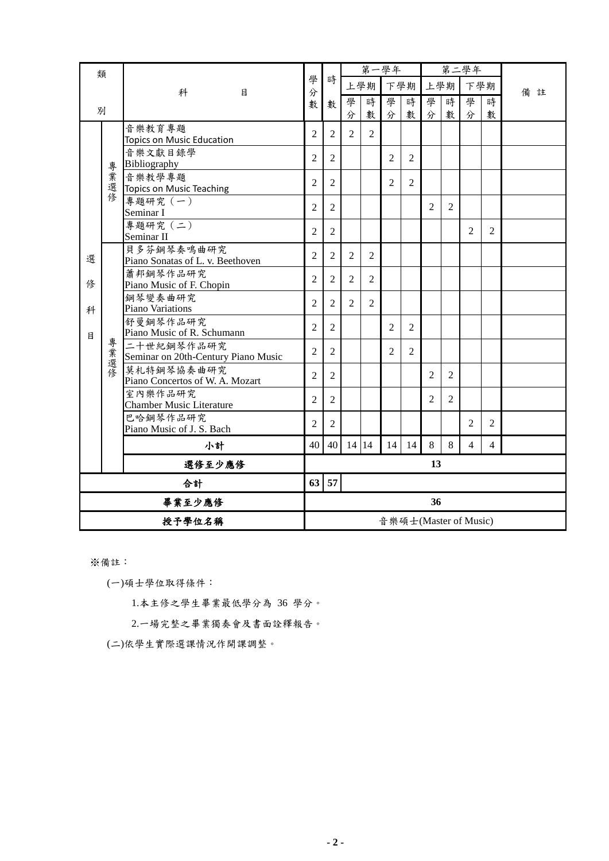| 類      |          |                                                   |                |                | 第一學年           |                |                |                |                |                | 第二學年                  |                |        |
|--------|----------|---------------------------------------------------|----------------|----------------|----------------|----------------|----------------|----------------|----------------|----------------|-----------------------|----------------|--------|
|        |          | 科<br>目                                            | 學<br>分         | 時              |                | 上學期            | 下學期            |                | 上學期            |                | 下學期                   |                | 備<br>註 |
|        |          |                                                   | 數              | 數              | 學              | 時              | 學              | 時              | 學              | 時              | 學                     | 時              |        |
| 別      |          |                                                   |                |                | 分              | 數              | 分              | 數              | 分              | 數              | 分                     | 數              |        |
|        |          | 音樂教育專題<br>Topics on Music Education               | $\overline{2}$ | $\overline{2}$ | 2              | 2              |                |                |                |                |                       |                |        |
|        | 專        | 音樂文獻目錄學<br>Bibliography                           | $\overline{2}$ | $\overline{2}$ |                |                | $\overline{2}$ | $\overline{2}$ |                |                |                       |                |        |
|        | ,業選修     | 音樂教學專題<br>Topics on Music Teaching                | $\overline{2}$ | $\overline{2}$ |                |                | 2              | $\overline{2}$ |                |                |                       |                |        |
|        |          | 專題研究 (一)<br>Seminar I                             | $\overline{2}$ | 2              |                |                |                |                | $\overline{2}$ | $\overline{2}$ |                       |                |        |
|        |          | 專題研究 (二)<br>Seminar II                            | $\overline{2}$ | $\overline{2}$ |                |                |                |                |                |                | $\overline{2}$        | $\overline{2}$ |        |
| 選      |          | 貝多芬鋼琴奏鳴曲研究<br>Piano Sonatas of L. v. Beethoven    | $\overline{2}$ | 2              | 2              | $\overline{2}$ |                |                |                |                |                       |                |        |
| 俢      |          | 蕭邦鋼琴作品研究<br>Piano Music of F. Chopin              | $\overline{2}$ | $\overline{c}$ | $\overline{2}$ | $\overline{2}$ |                |                |                |                |                       |                |        |
| 科      |          | 鋼琴變奏曲研究<br>Piano Variations                       | $\overline{2}$ | $\overline{2}$ | 2              | $\overline{2}$ |                |                |                |                |                       |                |        |
| 目      |          | 舒曼鋼琴作品研究<br>Piano Music of R. Schumann            | $\overline{2}$ | $\overline{2}$ |                |                | $\overline{c}$ | $\overline{2}$ |                |                |                       |                |        |
|        | 專<br>業選修 | 二十世紀鋼琴作品研究<br>Seminar on 20th-Century Piano Music | $\overline{2}$ | $\overline{2}$ |                |                | $\overline{2}$ | $\overline{2}$ |                |                |                       |                |        |
|        |          | 莫札特鋼琴協奏曲研究<br>Piano Concertos of W. A. Mozart     | $\overline{2}$ | $\overline{2}$ |                |                |                |                | $\overline{2}$ | $\overline{2}$ |                       |                |        |
|        |          | 室內樂作品研究<br><b>Chamber Music Literature</b>        | $\overline{2}$ | $\overline{2}$ |                |                |                |                | $\overline{2}$ | $\overline{c}$ |                       |                |        |
|        |          | 巴哈鋼琴作品研究<br>Piano Music of J. S. Bach             | $\overline{2}$ | $\overline{2}$ |                |                |                |                |                |                | $\overline{2}$        | $\overline{2}$ |        |
|        |          | 小計                                                | 40             | 40             | 14 14          |                | 14             | 14             | 8              | 8              | $\overline{4}$        | $\overline{4}$ |        |
|        |          | 選修至少應修                                            |                |                |                |                |                |                | 13             |                |                       |                |        |
| 合計     |          | 63                                                | 57             |                |                |                |                |                |                |                |                       |                |        |
| 畢業至少應修 |          |                                                   | 36             |                |                |                |                |                |                |                |                       |                |        |
|        | 授予學位名稱   |                                                   |                |                |                |                |                |                |                |                | 音樂碩士(Master of Music) |                |        |

※備註:

(一)碩士學位取得條件:

1.本主修之學生畢業最低學分為 36 學分。

2.一場完整之畢業獨奏會及書面詮釋報告。

(二)依學生實際選課情況作開課調整。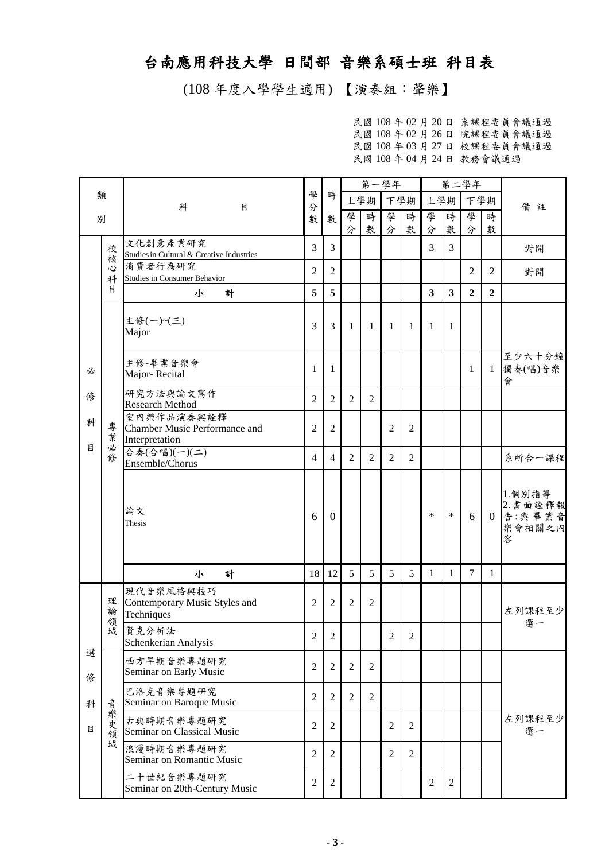## 台南應用科技大學 日間部 音樂系碩士班 科目表

(108 年度入學學生適用) 【演奏組:聲樂】

民國 108 年 02 月 20 日 系課程委員會議通過 民國 108 年 02 月 26 日 院課程委員會議通過 民國 108 年 03 月 27 日 校課程委員會議通過 民國 108 年 04 月 24 日 教務會議通過

|        |             |                                                               |                |                | 第一學年           |                |                |                  |                         | 第二學年                    |                |                |                                             |
|--------|-------------|---------------------------------------------------------------|----------------|----------------|----------------|----------------|----------------|------------------|-------------------------|-------------------------|----------------|----------------|---------------------------------------------|
|        | 類           | 科<br>目                                                        | 學<br>分         | 時              | 上學期<br>下學期     |                | 上學期            |                  | 下學期                     |                         | 備註             |                |                                             |
| 別      |             |                                                               | 數              | 數              | 學<br>分         | 時<br>數         | 學<br>分         | 時<br>數           | 學<br>分                  | 時<br>數                  | 學<br>分         | 時<br>數         |                                             |
|        | 校<br>核      | 文化創意產業研究<br>Studies in Cultural & Creative Industries         | $\overline{3}$ | 3              |                |                |                |                  | 3                       | 3                       |                |                | 對開                                          |
|        | 心<br>科      | 消費者行為研究<br><b>Studies in Consumer Behavior</b>                | $\overline{2}$ | $\overline{2}$ |                |                |                |                  |                         |                         | $\overline{2}$ | 2              | 對開                                          |
|        | 目           | 計<br>小                                                        | 5              | 5              |                |                |                |                  | $\overline{\mathbf{3}}$ | $\overline{\mathbf{3}}$ | $\overline{2}$ | $\overline{2}$ |                                             |
|        |             | 主修(一)~(三)<br>Major                                            | 3              | 3              | 1              | 1              | 1              | -1               | 1                       | 1                       |                |                |                                             |
| 必      |             | 主修-畢業音樂會<br>Major-Recital                                     | 1              | 1              |                |                |                |                  |                         |                         | $\mathbf{1}$   | $\mathbf{1}$   | 至少六十分鐘<br>獨奏(唱)音樂<br>會                      |
| 俢      |             | 研究方法與論文寫作<br><b>Research Method</b>                           | $\overline{2}$ | $\overline{2}$ | $\overline{2}$ | $\overline{2}$ |                |                  |                         |                         |                |                |                                             |
| 科      | 專業          | 室內樂作品演奏與詮釋<br>Chamber Music Performance and<br>Interpretation | $\overline{2}$ | $\overline{2}$ |                |                | $\overline{2}$ | $\overline{2}$   |                         |                         |                |                |                                             |
| 目      | 必<br>修      | 合奏(合唱)(一)(二)<br>Ensemble/Chorus                               | 4              | 4              | 2              | 2              | $\overline{2}$ | $\overline{2}$   |                         |                         |                |                | 系所合一課程                                      |
|        |             | 論文<br>Thesis                                                  | 6              | $\Omega$       |                |                |                |                  | $\ast$                  | $\ast$                  | 6              | $\Omega$       | 1.個別指導<br>2. 書面詮釋報<br>告:與畢業音<br>樂會相關之內<br>容 |
|        |             | 計<br>小                                                        | 18             | 12             | 5              | 5              | 5              | 5                | $\mathbf{1}$            | $\mathbf{1}$            | $\tau$         | $\mathbf{1}$   |                                             |
|        | 理<br>論<br>領 | 現代音樂風格與技巧<br>Contemporary Music Styles and<br>Techniques      | 2              | $\overline{2}$ | 2              | $\overline{2}$ |                |                  |                         |                         |                |                | 左列課程至少                                      |
|        | 域           | 賢克分析法<br>Schenkerian Analysis                                 | $\overline{c}$ | 2              |                |                | $\overline{c}$ | $\boldsymbol{2}$ |                         |                         |                |                | 選一                                          |
| 選<br>俢 |             | 西方早期音樂專題研究<br>Seminar on Early Music                          | $\overline{2}$ | $\overline{2}$ | $\overline{2}$ | $\overline{2}$ |                |                  |                         |                         |                |                |                                             |
| 科      | 音           | 巴洛克音樂專題研究<br>Seminar on Baroque Music                         | $\overline{2}$ | $\overline{2}$ | $\overline{2}$ | $\overline{2}$ |                |                  |                         |                         |                |                |                                             |
| 目      | 樂史領         | 古典時期音樂專題研究<br>Seminar on Classical Music                      | $\mathfrak{2}$ | $\overline{2}$ |                |                | $\overline{2}$ | $\overline{2}$   |                         |                         |                |                | 左列課程至少<br>選一                                |
|        | 域           | 浪漫時期音樂專題研究<br>Seminar on Romantic Music                       | $\overline{2}$ | $\overline{2}$ |                |                | $\overline{2}$ | $\overline{2}$   |                         |                         |                |                |                                             |
|        |             | 二十世紀音樂專題研究<br>Seminar on 20th-Century Music                   | $\sqrt{2}$     | $\overline{2}$ |                |                |                |                  | $\overline{2}$          | $\mathbf{2}$            |                |                |                                             |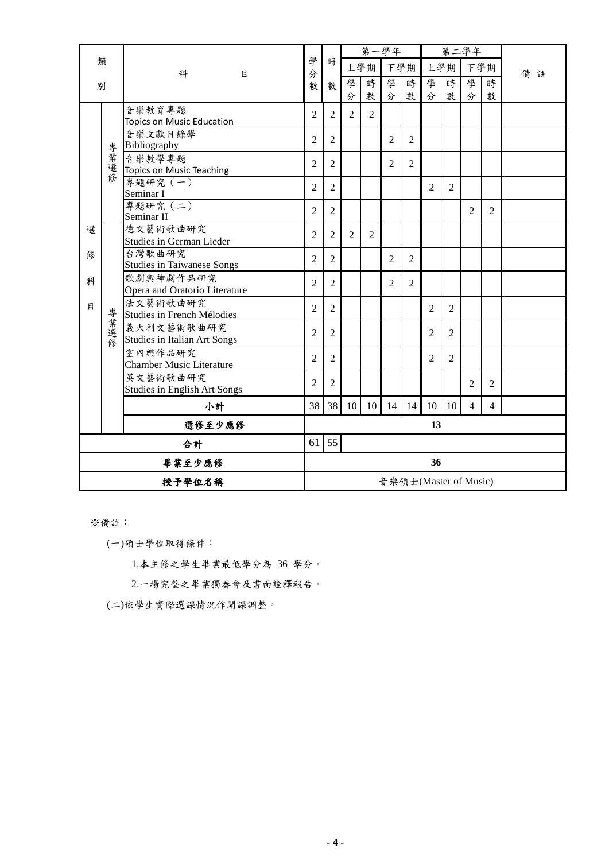|        |        |                                             |                |                |                | 第一學年           |                |                |                |                | 第二學年                  |                |    |
|--------|--------|---------------------------------------------|----------------|----------------|----------------|----------------|----------------|----------------|----------------|----------------|-----------------------|----------------|----|
| 類      |        | 科<br>目                                      | 學<br>分         | 時              |                | 上學期            |                | 下學期            |                | 上學期            |                       | 下學期            | 備註 |
| 別      |        |                                             | 數              | 數              | 學              | 時              | 學              | 時              | 學              | 時              | 學                     | 時              |    |
|        |        |                                             |                |                | 分              | 數              | 分              | 數              | 分              | 數              | 分                     | 數              |    |
|        |        | 音樂教育專題                                      | 2              | $\overline{2}$ | 2              | $\overline{2}$ |                |                |                |                |                       |                |    |
|        |        | Topics on Music Education<br>音樂文獻目錄學        |                |                |                |                |                |                |                |                |                       |                |    |
|        |        | Bibliography                                | $\overline{2}$ | $\overline{2}$ |                |                | $\overline{2}$ | 2              |                |                |                       |                |    |
|        | 專業選修   | 音樂教學專題                                      | $\overline{2}$ | $\overline{2}$ |                |                | 2              | 2              |                |                |                       |                |    |
|        |        | <b>Topics on Music Teaching</b>             |                |                |                |                |                |                |                |                |                       |                |    |
|        |        | 專題研究 (一)<br>Seminar I                       | $\overline{2}$ | 2              |                |                |                |                | $\overline{2}$ | $\overline{c}$ |                       |                |    |
|        |        | 專題研究 (二)                                    | $\overline{2}$ | $\overline{2}$ |                |                |                |                |                |                | $\overline{c}$        | $\overline{2}$ |    |
|        |        | Seminar II                                  |                |                |                |                |                |                |                |                |                       |                |    |
| 選      |        | 德文藝術歌曲研究<br><b>Studies in German Lieder</b> | $\overline{2}$ | $\overline{2}$ | $\overline{2}$ | $\overline{2}$ |                |                |                |                |                       |                |    |
| 俢      |        | 台灣歌曲研究                                      |                |                |                |                |                |                |                |                |                       |                |    |
|        |        | <b>Studies in Taiwanese Songs</b>           | $\overline{2}$ | $\overline{2}$ |                |                | $\overline{2}$ | $\overline{2}$ |                |                |                       |                |    |
| 科      |        | 歌劇與神劇作品研究                                   | $\overline{2}$ | $\overline{2}$ |                |                | $\overline{c}$ | $\overline{2}$ |                |                |                       |                |    |
|        |        | Opera and Oratorio Literature               |                |                |                |                |                |                |                |                |                       |                |    |
| 目      |        | 法文藝術歌曲研究                                    | 2              | $\overline{2}$ |                |                |                |                | $\overline{2}$ | $\overline{2}$ |                       |                |    |
|        |        | Studies in French Mélodies<br>義大利文藝術歌曲研究    |                |                |                |                |                |                |                |                |                       |                |    |
|        | 專業選修   | <b>Studies in Italian Art Songs</b>         | $\overline{2}$ | $\overline{2}$ |                |                |                |                | $\overline{2}$ | $\overline{2}$ |                       |                |    |
|        |        | 室內樂作品研究                                     |                |                |                |                |                |                |                |                |                       |                |    |
|        |        | <b>Chamber Music Literature</b>             | $\overline{2}$ | $\overline{c}$ |                |                |                |                | $\overline{2}$ | $\overline{c}$ |                       |                |    |
|        |        | 英文藝術歌曲研究                                    | $\overline{2}$ | $\overline{2}$ |                |                |                |                |                |                | $\mathfrak{D}$        | $\mathfrak{D}$ |    |
|        |        | Studies in English Art Songs                |                |                |                |                |                |                |                |                |                       |                |    |
|        |        | 小計                                          | 38             | 38             | 10             | 10             | 14             | 14             | 10             | 10             | $\overline{4}$        | $\overline{4}$ |    |
|        |        | 選修至少應修                                      |                |                |                |                |                |                | 13             |                |                       |                |    |
| 合計     |        | 61                                          | 55             |                |                |                |                |                |                |                |                       |                |    |
| 畢業至少應修 |        |                                             | 36             |                |                |                |                |                |                |                |                       |                |    |
|        | 授予學位名稱 |                                             |                |                |                |                |                |                |                |                | 音樂碩士(Master of Music) |                |    |

※備註:

(一)碩士學位取得條件:

1.本主修之學生畢業最低學分為 36 學分。

2.一場完整之畢業獨奏會及書面詮釋報告。

(二)依學生實際選課情況作開課調整。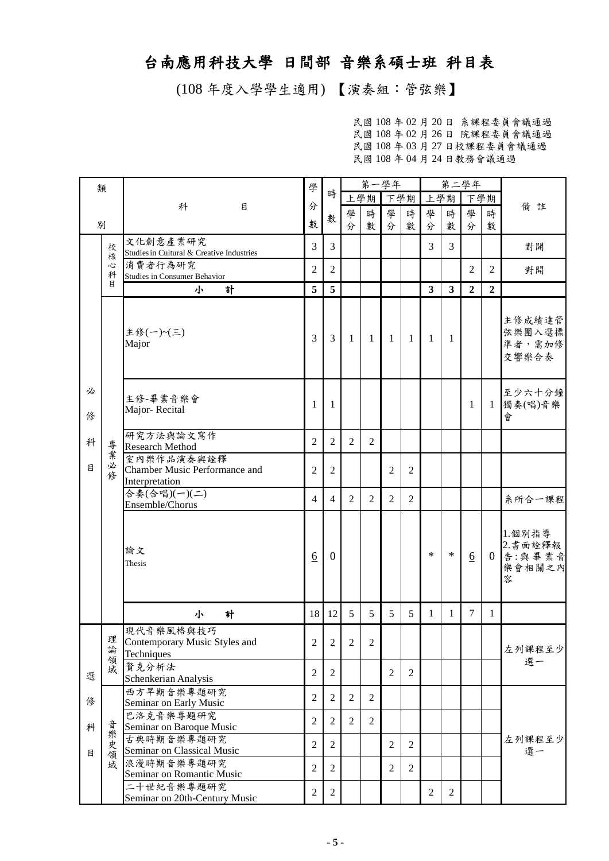## 台南應用科技大學 日間部 音樂系碩士班 科目表

(108 年度入學學生適用) 【演奏組:管弦樂】

民國 108 年 02 月 20 日 系課程委員會議通過 民國 108 年 02 月 26 日 院課程委員會議通過 民國 108 年 03 月 27 日校課程委員會議通過 民國 108 年 04 月 24 日教務會議通過

| 類      |             |                                                               | 學                |                | 第一學年           |                |                |                |                         |                | 第二學年             |                |                                                  |
|--------|-------------|---------------------------------------------------------------|------------------|----------------|----------------|----------------|----------------|----------------|-------------------------|----------------|------------------|----------------|--------------------------------------------------|
|        |             |                                                               |                  | 時              |                | 上學期            | –<br>下學期       |                | 上學期                     |                | 下學期              |                |                                                  |
|        |             | 科<br>目                                                        | 分                |                | 學              | 時              | 學              | 時              | 學                       | 時              | 學                | 時              | 備註                                               |
|        | 別           |                                                               | 數                | 數              | 分              | 數              | 分              | 數              | 分                       | 數              | 分                | 數              |                                                  |
|        |             | 文化創意產業研究                                                      |                  |                |                |                |                |                |                         |                |                  |                |                                                  |
|        | 校<br>核      | Studies in Cultural & Creative Industries                     | 3                | 3              |                |                |                |                | 3                       | 3              |                  |                | 對開                                               |
|        | 心           | 消費者行為研究                                                       | $\overline{2}$   | $\overline{2}$ |                |                |                |                |                         |                | $\overline{2}$   | $\overline{c}$ | 對開                                               |
|        | 科<br>月      | <b>Studies in Consumer Behavior</b>                           |                  |                |                |                |                |                |                         |                |                  |                |                                                  |
|        |             | 計<br>小                                                        | 5                | 5              |                |                |                |                | $\overline{\mathbf{3}}$ | 3              | $\overline{2}$   | $\overline{2}$ |                                                  |
|        |             | 主修(一)~(三)<br>Major                                            | 3                | 3              | -1             | $\overline{1}$ | $\mathbf{1}$   | -1             | 1                       | 1              |                  |                | 主修成績達管<br>弦樂團入選標<br>準者,需加修<br>交響樂合奏              |
| 必<br>俢 |             | 主修-畢業音樂會<br>Major-Recital                                     | $\mathbf{1}$     | 1              |                |                |                |                |                         |                | 1                | 1              | 至少六十分鐘<br>獨奏(唱)音樂<br>會                           |
| 科      | 專           | 研究方法與論文寫作<br><b>Research Method</b>                           | $\overline{2}$   | $\overline{2}$ | $\overline{2}$ | 2              |                |                |                         |                |                  |                |                                                  |
| 目      | 業<br>必<br>修 | 室內樂作品演奏與詮釋<br>Chamber Music Performance and<br>Interpretation | $\overline{2}$   | $\overline{2}$ |                |                | $\overline{2}$ | $\overline{2}$ |                         |                |                  |                |                                                  |
|        |             | 合奏(合唱)(一)(二)<br>Ensemble/Chorus                               | $\overline{4}$   | $\overline{4}$ | 2              | $\overline{2}$ | $\overline{2}$ | 2              |                         |                |                  |                | 系所合一課程                                           |
|        |             | 論文<br>Thesis                                                  | $\underline{6}$  | $\mathbf{0}$   |                |                |                |                | $\ast$                  | $\ast$         | $6 \overline{6}$ |                | 1.個別指導<br>2.書面詮釋報<br>0 告: 與 畢 業 音<br>樂會相關之內<br>容 |
|        |             | 計<br>小                                                        | 18               | 12             | 5              | 5              | 5              | 5              | 1                       | 1              | $\tau$           | 1              |                                                  |
|        | 理論          | 現代音樂風格與技巧<br>Contemporary Music Styles and<br>Techniques      | $\overline{c}$   | 2              | $\overline{2}$ | $\overline{2}$ |                |                |                         |                |                  |                | 左列課程至少<br>選一                                     |
| 選      | 領域          | 賢克分析法<br>Schenkerian Analysis                                 | $\overline{2}$   | $\overline{2}$ |                |                | $\overline{2}$ | $\overline{2}$ |                         |                |                  |                |                                                  |
| 俢      |             | 西方早期音樂專題研究<br>Seminar on Early Music                          | $\overline{2}$   | $\overline{2}$ | $\overline{2}$ | $\overline{2}$ |                |                |                         |                |                  |                |                                                  |
| 科      | 音           | 巴洛克音樂專題研究<br>Seminar on Baroque Music                         | $\overline{2}$   | $\mathfrak{2}$ | $\overline{2}$ | $\overline{2}$ |                |                |                         |                |                  |                | 左列課程至少<br>選一                                     |
|        | 樂史領域        | 古典時期音樂專題研究<br>Seminar on Classical Music                      | $\overline{2}$   | $\mathfrak{2}$ |                |                | $\mathfrak{2}$ | $\overline{2}$ |                         |                |                  |                |                                                  |
| 目      |             | 浪漫時期音樂專題研究<br>Seminar on Romantic Music                       | $\mathfrak{2}$   | 2              |                |                | $\overline{2}$ | 2              |                         |                |                  |                |                                                  |
|        |             | 二十世紀音樂專題研究<br>Seminar on 20th-Century Music                   | $\boldsymbol{2}$ | $\overline{2}$ |                |                |                |                | $\overline{2}$          | $\overline{2}$ |                  |                |                                                  |